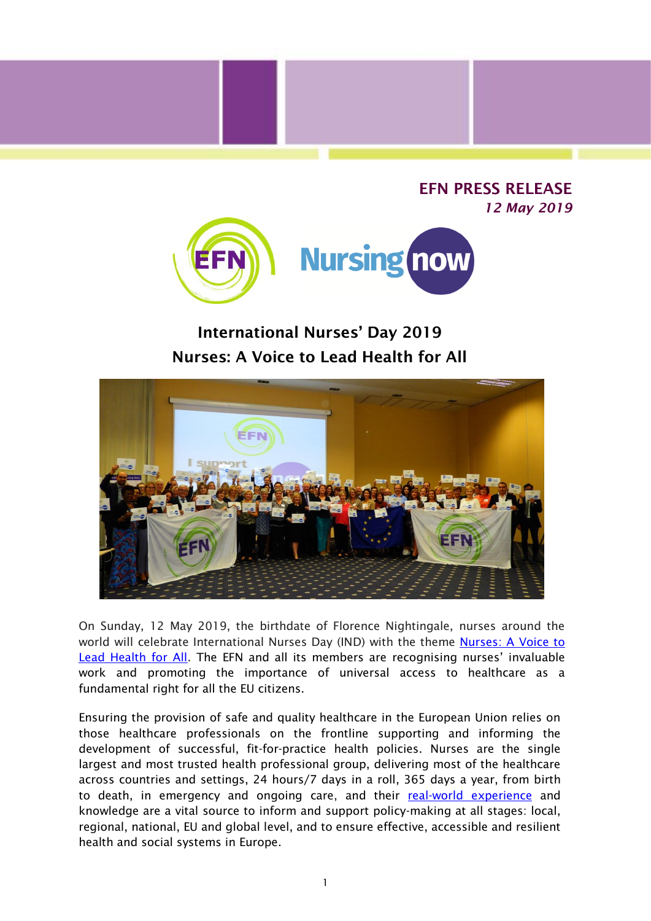



## International Nurses' Day 2019 Nurses: A Voice to Lead Health for All



On Sunday, 12 May 2019, the birthdate of Florence Nightingale, nurses around the world will celebrate International Nurses Day (IND) with the theme [Nurses: A Voice to](https://icn.us12.list-manage.com/track/click?u=03530878895d97d6501a06ebe&id=fce8db23b4&e=629a5a499a)  [Lead Health for All.](https://icn.us12.list-manage.com/track/click?u=03530878895d97d6501a06ebe&id=fce8db23b4&e=629a5a499a) The EFN and all its members are recognising nurses' invaluable work and promoting the importance of universal access to healthcare as a fundamental right for all the EU citizens.

Ensuring the provision of safe and quality healthcare in the European Union relies on those healthcare professionals on the frontline supporting and informing the development of successful, fit-for-practice health policies. Nurses are the single largest and most trusted health professional group, delivering most of the healthcare across countries and settings, 24 hours/7 days in a roll, 365 days a year, from birth to death, in emergency and ongoing care, and their [real-world experience](http://www.efnweb.be/?page_id=10850) and knowledge are a vital source to inform and support policy-making at all stages: local, regional, national, EU and global level, and to ensure effective, accessible and resilient health and social systems in Europe.